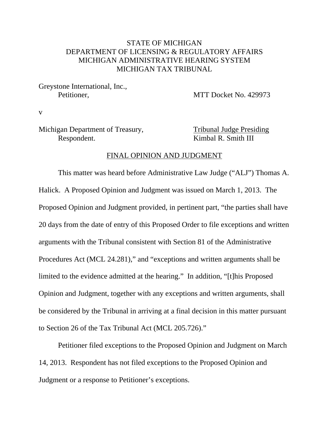# STATE OF MICHIGAN DEPARTMENT OF LICENSING & REGULATORY AFFAIRS MICHIGAN ADMINISTRATIVE HEARING SYSTEM MICHIGAN TAX TRIBUNAL

Greystone International, Inc.,

Petitioner. MTT Docket No. 429973

v

Michigan Department of Treasury, Tribunal Judge Presiding Respondent. Kimbal R. Smith III

#### FINAL OPINION AND JUDGMENT

This matter was heard before Administrative Law Judge ("ALJ") Thomas A. Halick. A Proposed Opinion and Judgment was issued on March 1, 2013. The Proposed Opinion and Judgment provided, in pertinent part, "the parties shall have 20 days from the date of entry of this Proposed Order to file exceptions and written arguments with the Tribunal consistent with Section 81 of the Administrative Procedures Act (MCL 24.281)," and "exceptions and written arguments shall be limited to the evidence admitted at the hearing." In addition, "[t]his Proposed Opinion and Judgment, together with any exceptions and written arguments, shall be considered by the Tribunal in arriving at a final decision in this matter pursuant to Section 26 of the Tax Tribunal Act (MCL 205.726)."

Petitioner filed exceptions to the Proposed Opinion and Judgment on March 14, 2013. Respondent has not filed exceptions to the Proposed Opinion and Judgment or a response to Petitioner's exceptions.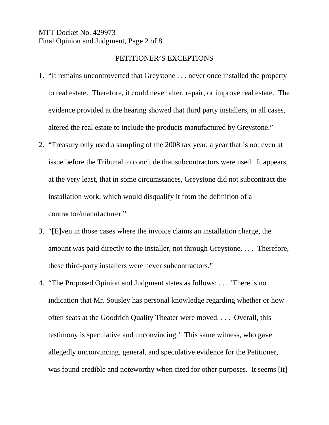### MTT Docket No. 429973 Final Opinion and Judgment, Page 2 of 8

### PETITIONER'S EXCEPTIONS

- 1. "It remains uncontroverted that Greystone . . . never once installed the property to real estate. Therefore, it could never alter, repair, or improve real estate. The evidence provided at the hearing showed that third party installers, in all cases, altered the real estate to include the products manufactured by Greystone."
- 2. "Treasury only used a sampling of the 2008 tax year, a year that is not even at issue before the Tribunal to conclude that subcontractors were used. It appears, at the very least, that in some circumstances, Greystone did not subcontract the installation work, which would disqualify it from the definition of a contractor/manufacturer."
- 3. "[E]ven in those cases where the invoice claims an installation charge, the amount was paid directly to the installer, not through Greystone. . . . Therefore, these third-party installers were never subcontractors."
- 4. "The Proposed Opinion and Judgment states as follows: . . . 'There is no indication that Mr. Sousley has personal knowledge regarding whether or how often seats at the Goodrich Quality Theater were moved. . . . Overall, this testimony is speculative and unconvincing.' This same witness, who gave allegedly unconvincing, general, and speculative evidence for the Petitioner, was found credible and noteworthy when cited for other purposes. It seems [it]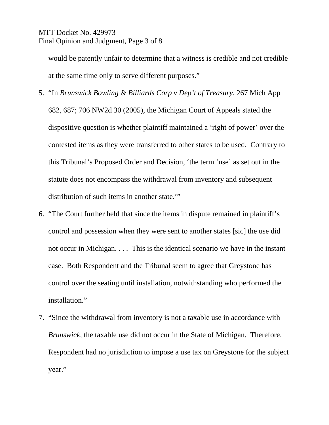## MTT Docket No. 429973 Final Opinion and Judgment, Page 3 of 8

would be patently unfair to determine that a witness is credible and not credible at the same time only to serve different purposes."

- 5. "In *Brunswick Bowling & Billiards Corp v Dep't of Treasury*, 267 Mich App 682, 687; 706 NW2d 30 (2005), the Michigan Court of Appeals stated the dispositive question is whether plaintiff maintained a 'right of power' over the contested items as they were transferred to other states to be used. Contrary to this Tribunal's Proposed Order and Decision, 'the term 'use' as set out in the statute does not encompass the withdrawal from inventory and subsequent distribution of such items in another state."
- 6. "The Court further held that since the items in dispute remained in plaintiff's control and possession when they were sent to another states [sic] the use did not occur in Michigan. . . . This is the identical scenario we have in the instant case. Both Respondent and the Tribunal seem to agree that Greystone has control over the seating until installation, notwithstanding who performed the installation."
- 7. "Since the withdrawal from inventory is not a taxable use in accordance with *Brunswick*, the taxable use did not occur in the State of Michigan. Therefore, Respondent had no jurisdiction to impose a use tax on Greystone for the subject year."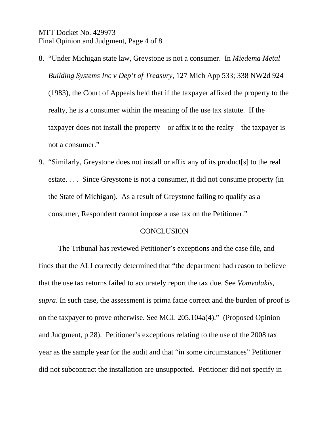### MTT Docket No. 429973 Final Opinion and Judgment, Page 4 of 8

- 8. "Under Michigan state law, Greystone is not a consumer. In *Miedema Metal Building Systems Inc v Dep't of Treasury*, 127 Mich App 533; 338 NW2d 924 (1983), the Court of Appeals held that if the taxpayer affixed the property to the realty, he is a consumer within the meaning of the use tax statute. If the taxpayer does not install the property – or affix it to the realty – the taxpayer is not a consumer."
- 9. "Similarly, Greystone does not install or affix any of its product[s] to the real estate. . . . Since Greystone is not a consumer, it did not consume property (in the State of Michigan). As a result of Greystone failing to qualify as a consumer, Respondent cannot impose a use tax on the Petitioner."

### **CONCLUSION**

The Tribunal has reviewed Petitioner's exceptions and the case file, and finds that the ALJ correctly determined that "the department had reason to believe that the use tax returns failed to accurately report the tax due. See *Vomvolakis, supra*. In such case, the assessment is prima facie correct and the burden of proof is on the taxpayer to prove otherwise. See MCL 205.104a(4)." (Proposed Opinion and Judgment, p 28). Petitioner's exceptions relating to the use of the 2008 tax year as the sample year for the audit and that "in some circumstances" Petitioner did not subcontract the installation are unsupported. Petitioner did not specify in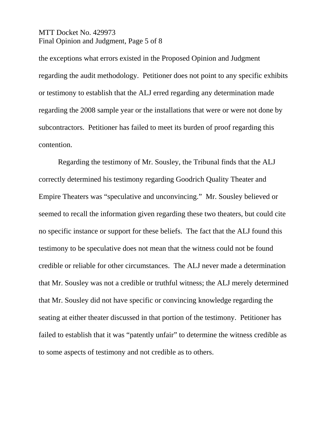## MTT Docket No. 429973 Final Opinion and Judgment, Page 5 of 8

the exceptions what errors existed in the Proposed Opinion and Judgment regarding the audit methodology. Petitioner does not point to any specific exhibits or testimony to establish that the ALJ erred regarding any determination made regarding the 2008 sample year or the installations that were or were not done by subcontractors. Petitioner has failed to meet its burden of proof regarding this contention.

Regarding the testimony of Mr. Sousley, the Tribunal finds that the ALJ correctly determined his testimony regarding Goodrich Quality Theater and Empire Theaters was "speculative and unconvincing." Mr. Sousley believed or seemed to recall the information given regarding these two theaters, but could cite no specific instance or support for these beliefs. The fact that the ALJ found this testimony to be speculative does not mean that the witness could not be found credible or reliable for other circumstances. The ALJ never made a determination that Mr. Sousley was not a credible or truthful witness; the ALJ merely determined that Mr. Sousley did not have specific or convincing knowledge regarding the seating at either theater discussed in that portion of the testimony. Petitioner has failed to establish that it was "patently unfair" to determine the witness credible as to some aspects of testimony and not credible as to others.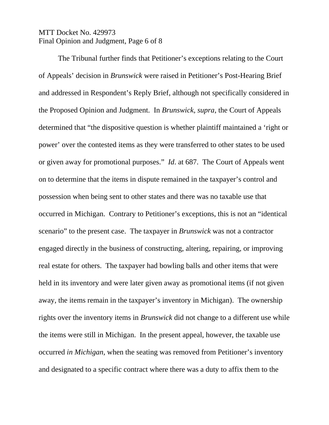## MTT Docket No. 429973 Final Opinion and Judgment, Page 6 of 8

The Tribunal further finds that Petitioner's exceptions relating to the Court of Appeals' decision in *Brunswick* were raised in Petitioner's Post-Hearing Brief and addressed in Respondent's Reply Brief, although not specifically considered in the Proposed Opinion and Judgment. In *Brunswick, supra*, the Court of Appeals determined that "the dispositive question is whether plaintiff maintained a 'right or power' over the contested items as they were transferred to other states to be used or given away for promotional purposes." *Id*. at 687. The Court of Appeals went on to determine that the items in dispute remained in the taxpayer's control and possession when being sent to other states and there was no taxable use that occurred in Michigan. Contrary to Petitioner's exceptions, this is not an "identical scenario" to the present case. The taxpayer in *Brunswick* was not a contractor engaged directly in the business of constructing, altering, repairing, or improving real estate for others. The taxpayer had bowling balls and other items that were held in its inventory and were later given away as promotional items (if not given away, the items remain in the taxpayer's inventory in Michigan). The ownership rights over the inventory items in *Brunswick* did not change to a different use while the items were still in Michigan. In the present appeal, however, the taxable use occurred *in Michigan*, when the seating was removed from Petitioner's inventory and designated to a specific contract where there was a duty to affix them to the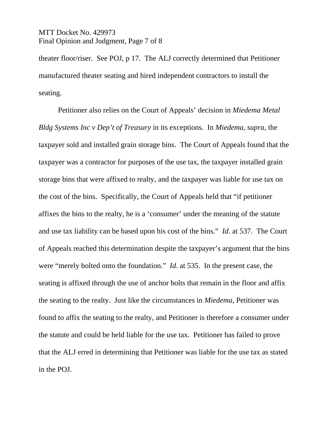### MTT Docket No. 429973 Final Opinion and Judgment, Page 7 of 8

theater floor/riser. See POJ, p 17. The ALJ correctly determined that Petitioner manufactured theater seating and hired independent contractors to install the seating.

Petitioner also relies on the Court of Appeals' decision in *Miedema Metal Bldg Systems Inc v Dep't of Treasury* in its exceptions. In *Miedema, supra*, the taxpayer sold and installed grain storage bins. The Court of Appeals found that the taxpayer was a contractor for purposes of the use tax, the taxpayer installed grain storage bins that were affixed to realty, and the taxpayer was liable for use tax on the cost of the bins. Specifically, the Court of Appeals held that "if petitioner affixes the bins to the realty, he is a 'consumer' under the meaning of the statute and use tax liability can be based upon his cost of the bins." *Id*. at 537. The Court of Appeals reached this determination despite the taxpayer's argument that the bins were "merely bolted onto the foundation." *Id*. at 535. In the present case, the seating is affixed through the use of anchor bolts that remain in the floor and affix the seating to the realty. Just like the circumstances in *Miedema*, Petitioner was found to affix the seating to the realty, and Petitioner is therefore a consumer under the statute and could be held liable for the use tax. Petitioner has failed to prove that the ALJ erred in determining that Petitioner was liable for the use tax as stated in the POJ.